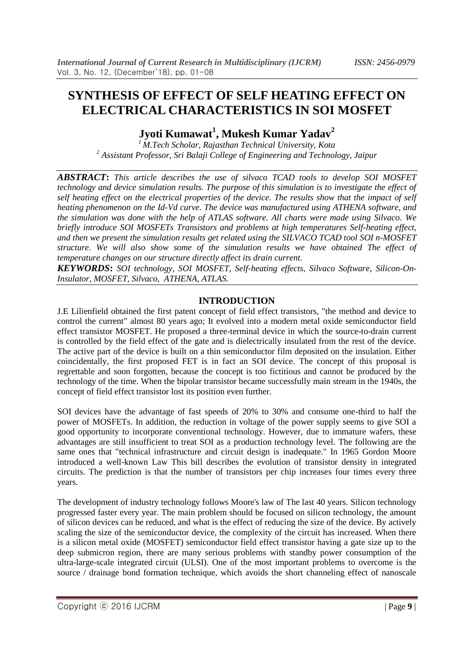# **SYNTHESIS OF EFFECT OF SELF HEATING EFFECT ON ELECTRICAL CHARACTERISTICS IN SOI MOSFET**

**Jyoti Kumawat<sup>1</sup> , Mukesh Kumar Yadav<sup>2</sup>**

*<sup>1</sup>M.Tech Scholar, Rajasthan Technical University, Kota <sup>2</sup> Assistant Professor, Sri Balaji College of Engineering and Technology, Jaipur*

*ABSTRACT***:** *This article describes the use of silvaco TCAD tools to develop SOI MOSFET technology and device simulation results. The purpose of this simulation is to investigate the effect of self heating effect on the electrical properties of the device. The results show that the impact of self heating phenomenon on the Id-Vd curve. The device was manufactured using ATHENA software, and the simulation was done with the help of ATLAS software. All charts were made using Silvaco. We briefly introduce SOI MOSFETs Transistors and problems at high temperatures Self-heating effect, and then we present the simulation results get related using the SILVACO TCAD tool SOI n-MOSFET structure. We will also show some of the simulation results we have obtained The effect of temperature changes on our structure directly affect its drain current.*

*KEYWORDS***:** *SOI technology, SOI MOSFET, Self-heating effects, Silvaco Software, Silicon-On-Insulator, MOSFET, Silvaco, ATHENA, ATLAS.*

## **INTRODUCTION**

J.E Lilienfield obtained the first patent concept of field effect transistors, "the method and device to control the current" almost 80 years ago; It evolved into a modern metal oxide semiconductor field effect transistor MOSFET. He proposed a three-terminal device in which the source-to-drain current is controlled by the field effect of the gate and is dielectrically insulated from the rest of the device. The active part of the device is built on a thin semiconductor film deposited on the insulation. Either coincidentally, the first proposed FET is in fact an SOI device. The concept of this proposal is regrettable and soon forgotten, because the concept is too fictitious and cannot be produced by the technology of the time. When the bipolar transistor became successfully main stream in the 1940s, the concept of field effect transistor lost its position even further.

SOI devices have the advantage of fast speeds of 20% to 30% and consume one-third to half the power of MOSFETs. In addition, the reduction in voltage of the power supply seems to give SOI a good opportunity to incorporate conventional technology. However, due to immature wafers, these advantages are still insufficient to treat SOI as a production technology level. The following are the same ones that "technical infrastructure and circuit design is inadequate." In 1965 Gordon Moore introduced a well-known Law This bill describes the evolution of transistor density in integrated circuits. The prediction is that the number of transistors per chip increases four times every three years.

The development of industry technology follows Moore's law of The last 40 years. Silicon technology progressed faster every year. The main problem should be focused on silicon technology, the amount of silicon devices can be reduced, and what is the effect of reducing the size of the device. By actively scaling the size of the semiconductor device, the complexity of the circuit has increased. When there is a silicon metal oxide (MOSFET) semiconductor field effect transistor having a gate size up to the deep submicron region, there are many serious problems with standby power consumption of the ultra-large-scale integrated circuit (ULSI). One of the most important problems to overcome is the source / drainage bond formation technique, which avoids the short channeling effect of nanoscale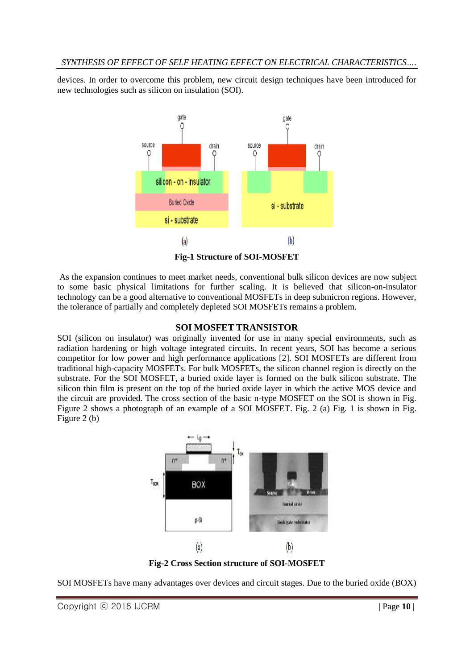devices. In order to overcome this problem, new circuit design techniques have been introduced for new technologies such as silicon on insulation (SOI).



**Fig-1 Structure of SOI-MOSFET**

As the expansion continues to meet market needs, conventional bulk silicon devices are now subject to some basic physical limitations for further scaling. It is believed that silicon-on-insulator technology can be a good alternative to conventional MOSFETs in deep submicron regions. However, the tolerance of partially and completely depleted SOI MOSFETs remains a problem.

## **SOI MOSFET TRANSISTOR**

SOI (silicon on insulator) was originally invented for use in many special environments, such as radiation hardening or high voltage integrated circuits. In recent years, SOI has become a serious competitor for low power and high performance applications [2]. SOI MOSFETs are different from traditional high-capacity MOSFETs. For bulk MOSFETs, the silicon channel region is directly on the substrate. For the SOI MOSFET, a buried oxide layer is formed on the bulk silicon substrate. The silicon thin film is present on the top of the buried oxide layer in which the active MOS device and the circuit are provided. The cross section of the basic n-type MOSFET on the SOI is shown in Fig. Figure 2 shows a photograph of an example of a SOI MOSFET. Fig. 2 (a) Fig. 1 is shown in Fig. Figure 2 (b)



**Fig-2 Cross Section structure of SOI-MOSFET**

SOI MOSFETs have many advantages over devices and circuit stages. Due to the buried oxide (BOX)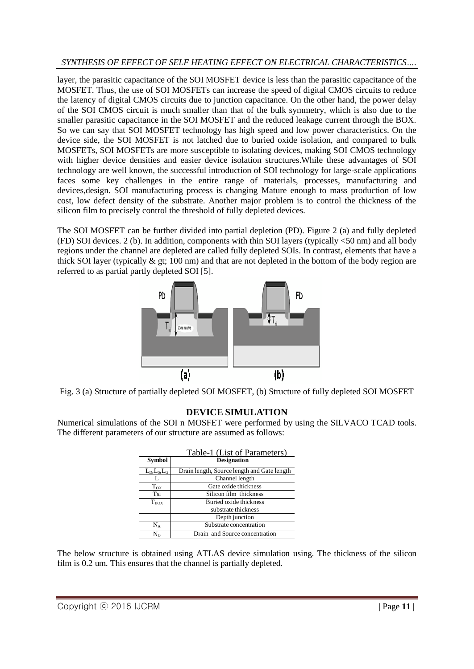# *SYNTHESIS OF EFFECT OF SELF HEATING EFFECT ON ELECTRICAL CHARACTERISTICS….*

layer, the parasitic capacitance of the SOI MOSFET device is less than the parasitic capacitance of the MOSFET. Thus, the use of SOI MOSFETs can increase the speed of digital CMOS circuits to reduce the latency of digital CMOS circuits due to junction capacitance. On the other hand, the power delay of the SOI CMOS circuit is much smaller than that of the bulk symmetry, which is also due to the smaller parasitic capacitance in the SOI MOSFET and the reduced leakage current through the BOX. So we can say that SOI MOSFET technology has high speed and low power characteristics. On the device side, the SOI MOSFET is not latched due to buried oxide isolation, and compared to bulk MOSFETs, SOI MOSFETs are more susceptible to isolating devices, making SOI CMOS technology with higher device densities and easier device isolation structures.While these advantages of SOI technology are well known, the successful introduction of SOI technology for large-scale applications faces some key challenges in the entire range of materials, processes, manufacturing and devices,design. SOI manufacturing process is changing Mature enough to mass production of low cost, low defect density of the substrate. Another major problem is to control the thickness of the silicon film to precisely control the threshold of fully depleted devices.

The SOI MOSFET can be further divided into partial depletion (PD). Figure 2 (a) and fully depleted (FD) SOI devices. 2 (b). In addition, components with thin SOI layers (typically <50 nm) and all body regions under the channel are depleted are called fully depleted SOIs. In contrast, elements that have a thick SOI layer (typically  $\&$  gt; 100 nm) and that are not depleted in the bottom of the body region are referred to as partial partly depleted SOI [5].



Fig. 3 (a) Structure of partially depleted SOI MOSFET, (b) Structure of fully depleted SOI MOSFET

# **DEVICE SIMULATION**

Numerical simulations of the SOI n MOSFET were performed by using the SILVACO TCAD tools. The different parameters of our structure are assumed as follows:

|                 | Table-1 (List of Parameters)                |
|-----------------|---------------------------------------------|
| <b>Symbol</b>   | <b>Designation</b>                          |
| $L_D, L_S, L_G$ | Drain length, Source length and Gate length |
| L               | Channel length                              |
| $T_{OX}$        | Gate oxide thickness                        |
| Tsi             | Silicon film thickness                      |
| $T_{\rm BOX}$   | Buried oxide thickness                      |
|                 | substrate thickness                         |
|                 | Depth junction                              |
| $\rm N_A$       | Substrate concentration                     |
| Nn              | Drain and Source concentration              |

The below structure is obtained using ATLAS device simulation using. The thickness of the silicon film is 0.2 um. This ensures that the channel is partially depleted.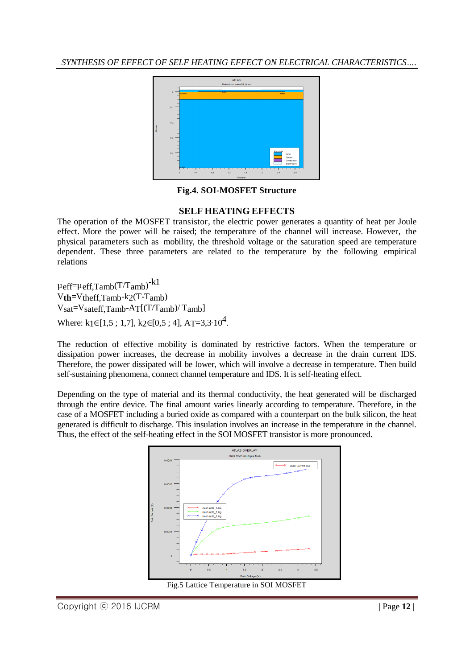*SYNTHESIS OF EFFECT OF SELF HEATING EFFECT ON ELECTRICAL CHARACTERISTICS….*



#### **Fig.4. SOI-MOSFET Structure**

#### **SELF HEATING EFFECTS**

The operation of the MOSFET transistor, the electric power generates a quantity of heat per Joule effect. More the power will be raised; the temperature of the channel will increase. However, the physical parameters such as mobility, the threshold voltage or the saturation speed are temperature dependent. These three parameters are related to the temperature by the following empirical relations

 $\mu$ eff= $\mu$ eff,Tamb(T/Tamb)<sup>-k1</sup> V**th=**Vtheff,Tamb-k2(T-Tamb) Vsat=Vsateff,Tamb-AT[(T/Tamb)/ Tamb] Where:  $k_1 \in [1, 5; 1, 7]$ ,  $k_2 \in [0, 5; 4]$ , A<sub>T</sub>=3,3·10<sup>4</sup>.

The reduction of effective mobility is dominated by restrictive factors. When the temperature or dissipation power increases, the decrease in mobility involves a decrease in the drain current IDS. Therefore, the power dissipated will be lower, which will involve a decrease in temperature. Then build self-sustaining phenomena, connect channel temperature and IDS. It is self-heating effect.

Depending on the type of material and its thermal conductivity, the heat generated will be discharged through the entire device. The final amount varies linearly according to temperature. Therefore, in the case of a MOSFET including a buried oxide as compared with a counterpart on the bulk silicon, the heat generated is difficult to discharge. This insulation involves an increase in the temperature in the channel. Thus, the effect of the self-heating effect in the SOI MOSFET transistor is more pronounced.



Fig.5 Lattice Temperature in SOI MOSFET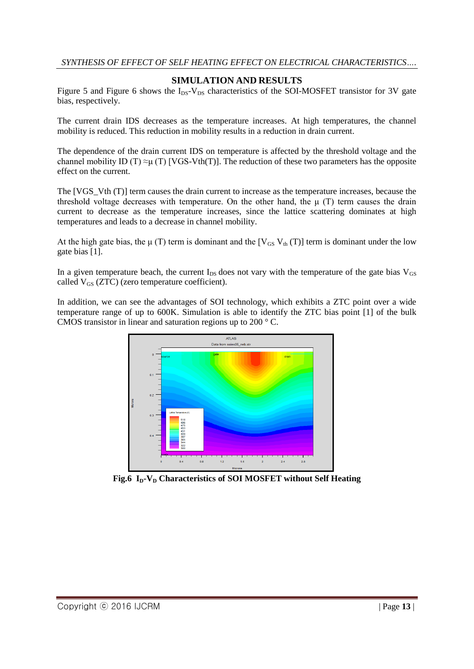## **SIMULATION AND RESULTS**

Figure 5 and Figure 6 shows the  $I_{DS}$ -V<sub>DS</sub> characteristics of the SOI-MOSFET transistor for 3V gate bias, respectively.

The current drain IDS decreases as the temperature increases. At high temperatures, the channel mobility is reduced. This reduction in mobility results in a reduction in drain current.

The dependence of the drain current IDS on temperature is affected by the threshold voltage and the channel mobility ID (T)  $\approx \mu$  (T) [VGS-Vth(T)]. The reduction of these two parameters has the opposite effect on the current.

The [VGS Vth (T)] term causes the drain current to increase as the temperature increases, because the threshold voltage decreases with temperature. On the other hand, the  $\mu$  (T) term causes the drain current to decrease as the temperature increases, since the lattice scattering dominates at high temperatures and leads to a decrease in channel mobility.

At the high gate bias, the  $\mu$  (T) term is dominant and the [V<sub>GS</sub> V<sub>th</sub> (T)] term is dominant under the low gate bias [1].

In a given temperature beach, the current  $I_{DS}$  does not vary with the temperature of the gate bias  $V_{GS}$ called  $V_{GS}$  (ZTC) (zero temperature coefficient).

In addition, we can see the advantages of SOI technology, which exhibits a ZTC point over a wide temperature range of up to 600K. Simulation is able to identify the ZTC bias point [1] of the bulk CMOS transistor in linear and saturation regions up to 200 ° C.



**Fig.6 ID-V<sup>D</sup> Characteristics of SOI MOSFET without Self Heating**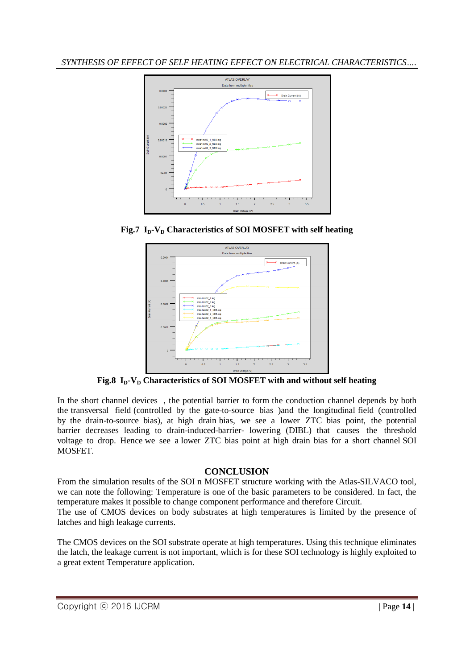*SYNTHESIS OF EFFECT OF SELF HEATING EFFECT ON ELECTRICAL CHARACTERISTICS….*



**Fig.7**  $I_p$ **-V**<sup>D</sup> **Characteristics of SOI MOSFET with self heating** 



**Fig.8**  $I_p$ **-V** $_p$  **Characteristics of SOI MOSFET with and without self heating** 

In the short channel devices , the potential barrier to form the conduction channel depends by both the transversal field (controlled by the gate-to-source bias )and the longitudinal field (controlled by the drain-to-source bias), at high drain bias, we see a lower ZTC bias point, the potential barrier decreases leading to drain-induced-barrier- lowering (DIBL) that causes the threshold voltage to drop. Hence we see a lower ZTC bias point at high drain bias for a short channel SOI MOSFET.

# **CONCLUSION**

From the simulation results of the SOI n MOSFET structure working with the Atlas-SILVACO tool, we can note the following: Temperature is one of the basic parameters to be considered. In fact, the temperature makes it possible to change component performance and therefore Circuit.

The use of CMOS devices on body substrates at high temperatures is limited by the presence of latches and high leakage currents.

The CMOS devices on the SOI substrate operate at high temperatures. Using this technique eliminates the latch, the leakage current is not important, which is for these SOI technology is highly exploited to a great extent Temperature application.